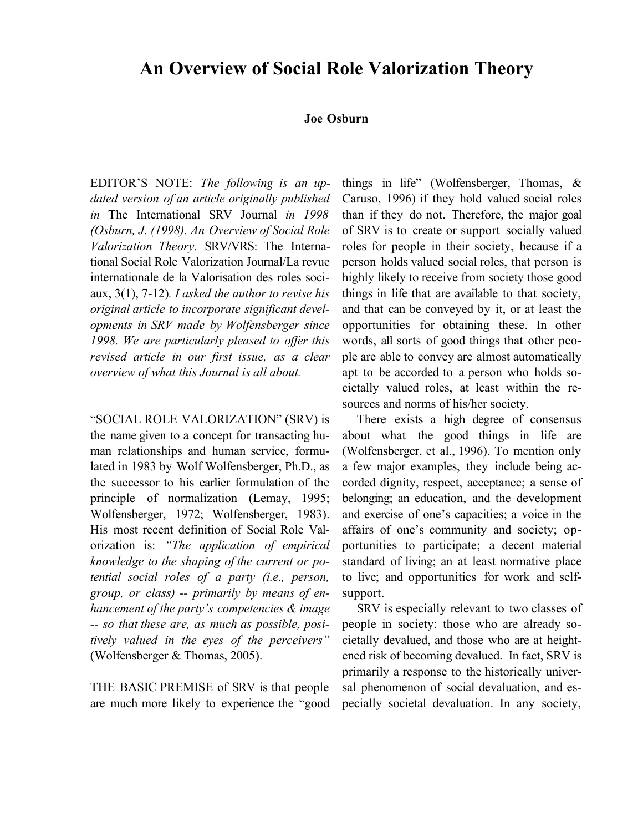# **An Overview of Social Role Valorization Theory**

### **Joe Osburn**

EDITOR'S NOTE: *The following is an updated version of an article originally published in* The International SRV Journal *in 1998 (Osburn, J. (1998). An Overview of Social Role Valorization Theory.* SRV/VRS: The International Social Role Valorization Journal/La revue internationale de la Valorisation des roles sociaux, 3(1), 7-12)*. I asked the author to revise his original article to incorporate significant developments in SRV made by Wolfensberger since 1998. We are particularly pleased to offer this revised article in our first issue, as a clear overview of what this Journal is all about.*

"SOCIAL ROLE VALORIZATION" (SRV) is the name given to a concept for transacting human relationships and human service, formulated in 1983 by Wolf Wolfensberger, Ph.D., as the successor to his earlier formulation of the principle of normalization (Lemay, 1995; Wolfensberger, 1972; Wolfensberger, 1983). His most recent definition of Social Role Valorization is: *"The application of empirical knowledge to the shaping of the current or potential social roles of a party (i.e., person, group, or class) -- primarily by means of enhancement of the party's competencies & image -- so that these are, as much as possible, positively valued in the eyes of the perceivers"* (Wolfensberger & Thomas, 2005).

THE BASIC PREMISE of SRV is that people are much more likely to experience the "good things in life" (Wolfensberger, Thomas, & Caruso, 1996) if they hold valued social roles than if they do not. Therefore, the major goal of SRV is to create or support socially valued roles for people in their society, because if a person holds valued social roles, that person is highly likely to receive from society those good things in life that are available to that society, and that can be conveyed by it, or at least the opportunities for obtaining these. In other words, all sorts of good things that other people are able to convey are almost automatically apt to be accorded to a person who holds societally valued roles, at least within the resources and norms of his/her society.

There exists a high degree of consensus about what the good things in life are (Wolfensberger, et al., 1996). To mention only a few major examples, they include being accorded dignity, respect, acceptance; a sense of belonging; an education, and the development and exercise of one's capacities; a voice in the affairs of one's community and society; opportunities to participate; a decent material standard of living; an at least normative place to live; and opportunities for work and selfsupport.

SRV is especially relevant to two classes of people in society: those who are already societally devalued, and those who are at heightened risk of becoming devalued. In fact, SRV is primarily a response to the historically universal phenomenon of social devaluation, and especially societal devaluation. In any society,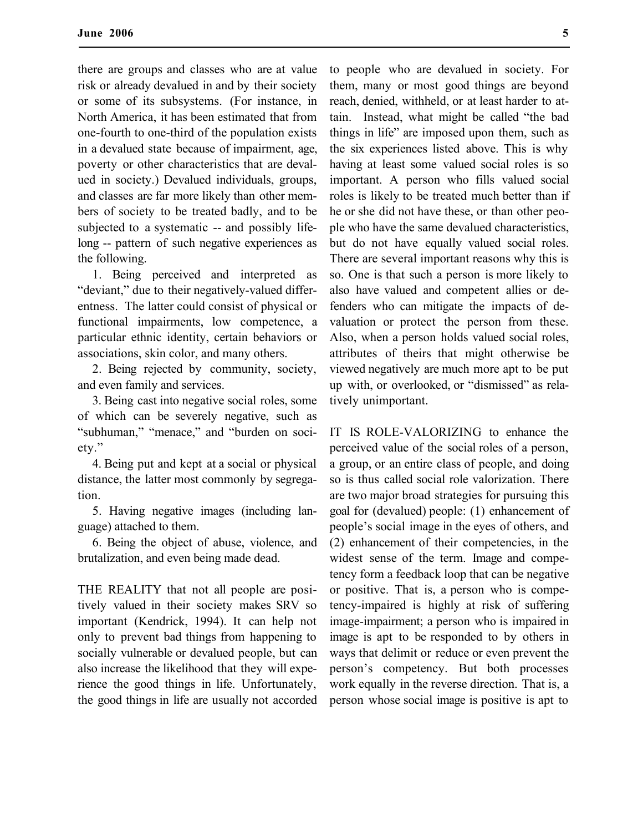there are groups and classes who are at value risk or already devalued in and by their society or some of its subsystems. (For instance, in North America, it has been estimated that from one-fourth to one-third of the population exists in a devalued state because of impairment, age, poverty or other characteristics that are devalued in society.) Devalued individuals, groups, and classes are far more likely than other members of society to be treated badly, and to be subjected to a systematic -- and possibly lifelong -- pattern of such negative experiences as the following.

1. Being perceived and interpreted as "deviant," due to their negatively-valued differentness. The latter could consist of physical or functional impairments, low competence, a particular ethnic identity, certain behaviors or associations, skin color, and many others.

2. Being rejected by community, society, and even family and services.

3. Being cast into negative social roles, some of which can be severely negative, such as "subhuman," "menace," and "burden on society."

4. Being put and kept at a social or physical distance, the latter most commonly by segregation.

5. Having negative images (including language) attached to them.

6. Being the object of abuse, violence, and brutalization, and even being made dead.

THE REALITY that not all people are positively valued in their society makes SRV so important (Kendrick, 1994). It can help not only to prevent bad things from happening to socially vulnerable or devalued people, but can also increase the likelihood that they will experience the good things in life. Unfortunately, the good things in life are usually not accorded

to people who are devalued in society. For them, many or most good things are beyond reach, denied, withheld, or at least harder to attain. Instead, what might be called "the bad things in life" are imposed upon them, such as the six experiences listed above. This is why having at least some valued social roles is so important. A person who fills valued social roles is likely to be treated much better than if he or she did not have these, or than other people who have the same devalued characteristics, but do not have equally valued social roles. There are several important reasons why this is so. One is that such a person is more likely to also have valued and competent allies or defenders who can mitigate the impacts of devaluation or protect the person from these. Also, when a person holds valued social roles, attributes of theirs that might otherwise be viewed negatively are much more apt to be put up with, or overlooked, or "dismissed" as relatively unimportant.

IT IS ROLE-VALORIZING to enhance the perceived value of the social roles of a person, a group, or an entire class of people, and doing so is thus called social role valorization. There are two major broad strategies for pursuing this goal for (devalued) people: (1) enhancement of people's social image in the eyes of others, and (2) enhancement of their competencies, in the widest sense of the term. Image and competency form a feedback loop that can be negative or positive. That is, a person who is competency-impaired is highly at risk of suffering image-impairment; a person who is impaired in image is apt to be responded to by others in ways that delimit or reduce or even prevent the person's competency. But both processes work equally in the reverse direction. That is, a person whose social image is positive is apt to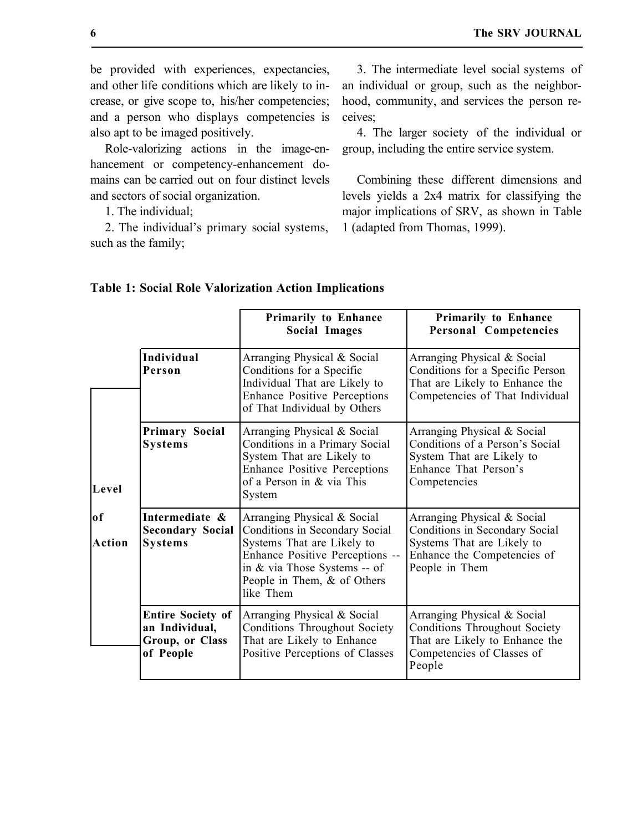be provided with experiences, expectancies, and other life conditions which are likely to increase, or give scope to, his/her competencies; and a person who displays competencies is also apt to be imaged positively.

Role-valorizing actions in the image-enhancement or competency-enhancement domains can be carried out on four distinct levels and sectors of social organization.

1. The individual;

2. The individual's primary social systems, such as the family;

3. The intermediate level social systems of an individual or group, such as the neighborhood, community, and services the person receives;

4. The larger society of the individual or group, including the entire service system.

Combining these different dimensions and levels yields a 2x4 matrix for classifying the major implications of SRV, as shown in Table 1 (adapted from Thomas, 1999).

|                       |                                                                            | <b>Primarily to Enhance</b><br><b>Social Images</b>                                                                                                                                                        | <b>Primarily to Enhance</b><br><b>Personal Competencies</b>                                                                                   |
|-----------------------|----------------------------------------------------------------------------|------------------------------------------------------------------------------------------------------------------------------------------------------------------------------------------------------------|-----------------------------------------------------------------------------------------------------------------------------------------------|
| Level<br>of<br>Action | <b>Individual</b><br>Person                                                | Arranging Physical & Social<br>Conditions for a Specific<br>Individual That are Likely to<br><b>Enhance Positive Perceptions</b><br>of That Individual by Others                                           | Arranging Physical & Social<br>Conditions for a Specific Person<br>That are Likely to Enhance the<br>Competencies of That Individual          |
|                       | <b>Primary Social</b><br><b>Systems</b>                                    | Arranging Physical & Social<br>Conditions in a Primary Social<br>System That are Likely to<br><b>Enhance Positive Perceptions</b><br>of a Person in & via This<br>System                                   | Arranging Physical & Social<br>Conditions of a Person's Social<br>System That are Likely to<br>Enhance That Person's<br>Competencies          |
|                       | Intermediate &<br><b>Secondary Social</b><br><b>Systems</b>                | Arranging Physical & Social<br>Conditions in Secondary Social<br>Systems That are Likely to<br>Enhance Positive Perceptions --<br>in & via Those Systems -- of<br>People in Them, & of Others<br>like Them | Arranging Physical & Social<br>Conditions in Secondary Social<br>Systems That are Likely to<br>Enhance the Competencies of<br>People in Them  |
|                       | <b>Entire Society of</b><br>an Individual,<br>Group, or Class<br>of People | Arranging Physical & Social<br><b>Conditions Throughout Society</b><br>That are Likely to Enhance<br>Positive Perceptions of Classes                                                                       | Arranging Physical & Social<br><b>Conditions Throughout Society</b><br>That are Likely to Enhance the<br>Competencies of Classes of<br>People |

## **Table 1: Social Role Valorization Action Implications**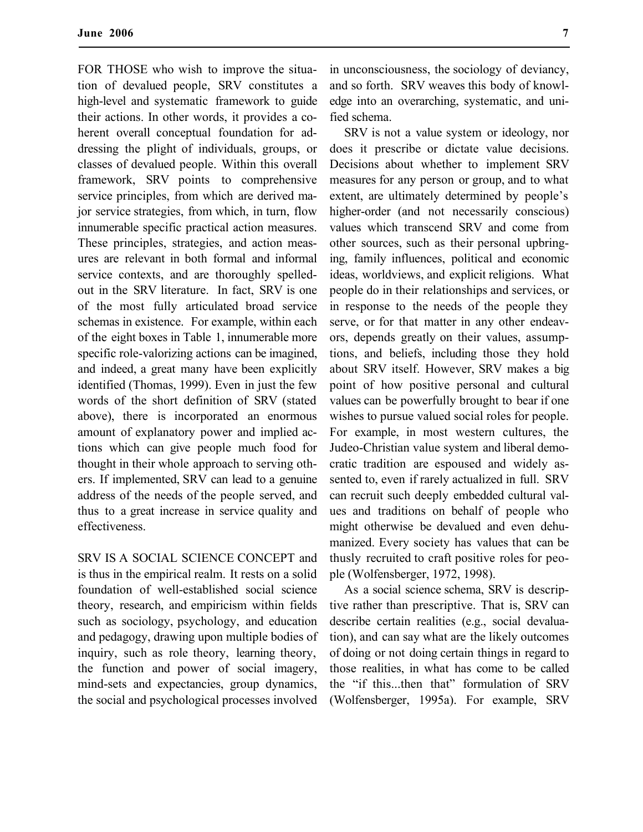FOR THOSE who wish to improve the situation of devalued people, SRV constitutes a high-level and systematic framework to guide their actions. In other words, it provides a coherent overall conceptual foundation for addressing the plight of individuals, groups, or classes of devalued people. Within this overall framework, SRV points to comprehensive service principles, from which are derived major service strategies, from which, in turn, flow innumerable specific practical action measures. These principles, strategies, and action measures are relevant in both formal and informal service contexts, and are thoroughly spelledout in the SRV literature. In fact, SRV is one of the most fully articulated broad service schemas in existence. For example, within each of the eight boxes in Table 1, innumerable more specific role-valorizing actions can be imagined, and indeed, a great many have been explicitly identified (Thomas, 1999). Even in just the few words of the short definition of SRV (stated above), there is incorporated an enormous amount of explanatory power and implied actions which can give people much food for thought in their whole approach to serving others. If implemented, SRV can lead to a genuine address of the needs of the people served, and thus to a great increase in service quality and effectiveness.

SRV IS A SOCIAL SCIENCE CONCEPT and is thus in the empirical realm. It rests on a solid foundation of well-established social science theory, research, and empiricism within fields such as sociology, psychology, and education and pedagogy, drawing upon multiple bodies of inquiry, such as role theory, learning theory, the function and power of social imagery, mind-sets and expectancies, group dynamics, the social and psychological processes involved in unconsciousness, the sociology of deviancy, and so forth. SRV weaves this body of knowledge into an overarching, systematic, and unified schema.

SRV is not a value system or ideology, nor does it prescribe or dictate value decisions. Decisions about whether to implement SRV measures for any person or group, and to what extent, are ultimately determined by people's higher-order (and not necessarily conscious) values which transcend SRV and come from other sources, such as their personal upbringing, family influences, political and economic ideas, worldviews, and explicit religions. What people do in their relationships and services, or in response to the needs of the people they serve, or for that matter in any other endeavors, depends greatly on their values, assumptions, and beliefs, including those they hold about SRV itself. However, SRV makes a big point of how positive personal and cultural values can be powerfully brought to bear if one wishes to pursue valued social roles for people. For example, in most western cultures, the Judeo-Christian value system and liberal democratic tradition are espoused and widely assented to, even if rarely actualized in full. SRV can recruit such deeply embedded cultural values and traditions on behalf of people who might otherwise be devalued and even dehumanized. Every society has values that can be thusly recruited to craft positive roles for people (Wolfensberger, 1972, 1998).

As a social science schema, SRV is descriptive rather than prescriptive. That is, SRV can describe certain realities (e.g., social devaluation), and can say what are the likely outcomes of doing or not doing certain things in regard to those realities, in what has come to be called the "if this...then that" formulation of SRV (Wolfensberger, 1995a). For example, SRV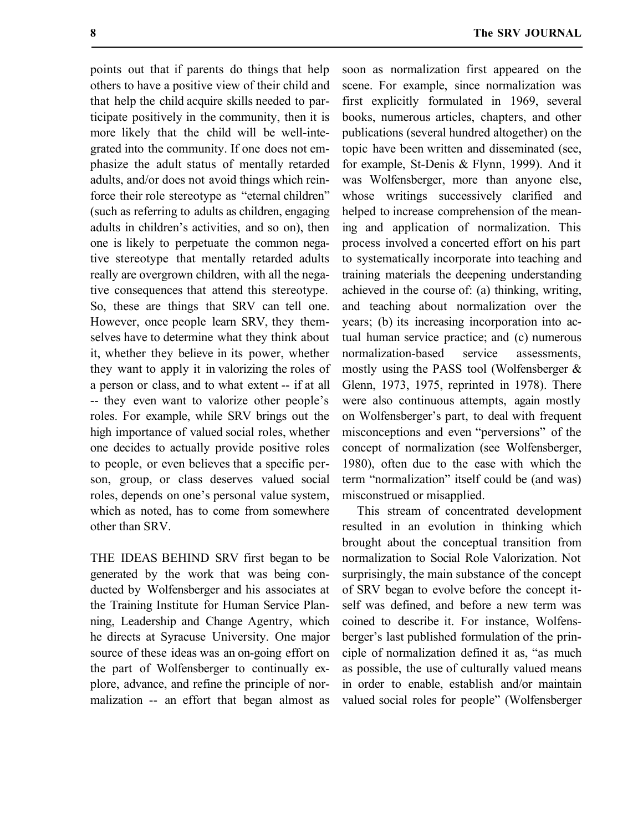points out that if parents do things that help others to have a positive view of their child and that help the child acquire skills needed to participate positively in the community, then it is more likely that the child will be well-integrated into the community. If one does not emphasize the adult status of mentally retarded adults, and/or does not avoid things which reinforce their role stereotype as "eternal children" (such as referring to adults as children, engaging adults in children's activities, and so on), then one is likely to perpetuate the common negative stereotype that mentally retarded adults really are overgrown children, with all the negative consequences that attend this stereotype. So, these are things that SRV can tell one. However, once people learn SRV, they themselves have to determine what they think about it, whether they believe in its power, whether they want to apply it in valorizing the roles of a person or class, and to what extent -- if at all -- they even want to valorize other people's roles. For example, while SRV brings out the high importance of valued social roles, whether one decides to actually provide positive roles to people, or even believes that a specific person, group, or class deserves valued social roles, depends on one's personal value system, which as noted, has to come from somewhere other than SRV.

THE IDEAS BEHIND SRV first began to be generated by the work that was being conducted by Wolfensberger and his associates at the Training Institute for Human Service Planning, Leadership and Change Agentry, which he directs at Syracuse University. One major source of these ideas was an on-going effort on the part of Wolfensberger to continually explore, advance, and refine the principle of normalization -- an effort that began almost as soon as normalization first appeared on the scene. For example, since normalization was first explicitly formulated in 1969, several books, numerous articles, chapters, and other publications (several hundred altogether) on the topic have been written and disseminated (see, for example, St-Denis & Flynn, 1999). And it was Wolfensberger, more than anyone else, whose writings successively clarified and helped to increase comprehension of the meaning and application of normalization. This process involved a concerted effort on his part to systematically incorporate into teaching and training materials the deepening understanding achieved in the course of: (a) thinking, writing, and teaching about normalization over the years; (b) its increasing incorporation into actual human service practice; and (c) numerous normalization-based service assessments, mostly using the PASS tool (Wolfensberger & Glenn, 1973, 1975, reprinted in 1978). There were also continuous attempts, again mostly on Wolfensberger's part, to deal with frequent misconceptions and even "perversions" of the concept of normalization (see Wolfensberger, 1980), often due to the ease with which the term "normalization" itself could be (and was) misconstrued or misapplied.

This stream of concentrated development resulted in an evolution in thinking which brought about the conceptual transition from normalization to Social Role Valorization. Not surprisingly, the main substance of the concept of SRV began to evolve before the concept itself was defined, and before a new term was coined to describe it. For instance, Wolfensberger's last published formulation of the principle of normalization defined it as, "as much as possible, the use of culturally valued means in order to enable, establish and/or maintain valued social roles for people" (Wolfensberger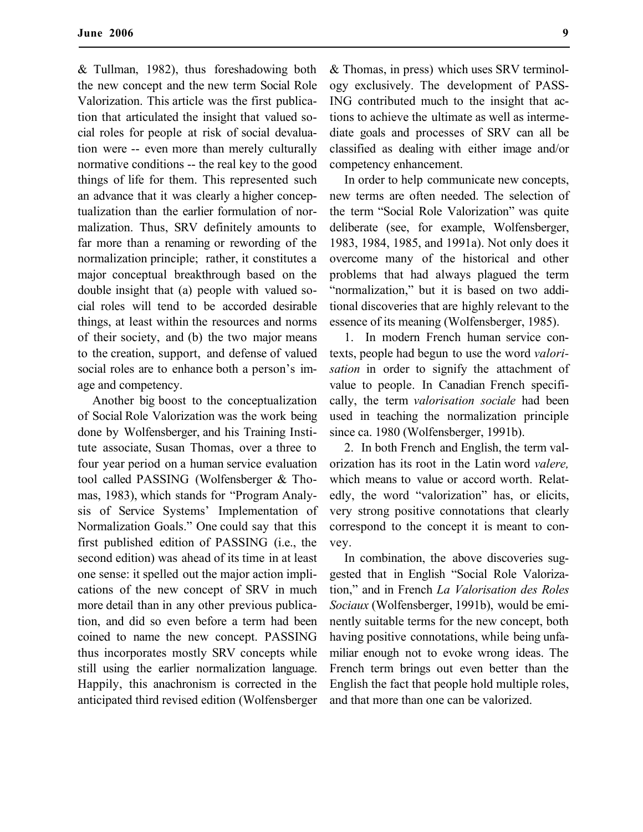& Tullman, 1982), thus foreshadowing both the new concept and the new term Social Role Valorization. This article was the first publication that articulated the insight that valued social roles for people at risk of social devaluation were -- even more than merely culturally normative conditions -- the real key to the good things of life for them. This represented such an advance that it was clearly a higher conceptualization than the earlier formulation of normalization. Thus, SRV definitely amounts to far more than a renaming or rewording of the normalization principle; rather, it constitutes a major conceptual breakthrough based on the double insight that (a) people with valued social roles will tend to be accorded desirable things, at least within the resources and norms of their society, and (b) the two major means to the creation, support, and defense of valued social roles are to enhance both a person's image and competency.

Another big boost to the conceptualization of Social Role Valorization was the work being done by Wolfensberger, and his Training Institute associate, Susan Thomas, over a three to four year period on a human service evaluation tool called PASSING (Wolfensberger & Thomas, 1983), which stands for "Program Analysis of Service Systems' Implementation of Normalization Goals." One could say that this first published edition of PASSING (i.e., the second edition) was ahead of its time in at least one sense: it spelled out the major action implications of the new concept of SRV in much more detail than in any other previous publication, and did so even before a term had been coined to name the new concept. PASSING thus incorporates mostly SRV concepts while still using the earlier normalization language. Happily, this anachronism is corrected in the anticipated third revised edition (Wolfensberger

& Thomas, in press) which uses SRV terminology exclusively. The development of PASS-ING contributed much to the insight that actions to achieve the ultimate as well as intermediate goals and processes of SRV can all be classified as dealing with either image and/or competency enhancement.

In order to help communicate new concepts, new terms are often needed. The selection of the term "Social Role Valorization" was quite deliberate (see, for example, Wolfensberger, 1983, 1984, 1985, and 1991a). Not only does it overcome many of the historical and other problems that had always plagued the term "normalization," but it is based on two additional discoveries that are highly relevant to the essence of its meaning (Wolfensberger, 1985).

1. In modern French human service contexts, people had begun to use the word *valorisation* in order to signify the attachment of value to people. In Canadian French specifically, the term *valorisation sociale* had been used in teaching the normalization principle since ca. 1980 (Wolfensberger, 1991b).

2. In both French and English, the term valorization has its root in the Latin word *valere,* which means to value or accord worth. Relatedly, the word "valorization" has, or elicits, very strong positive connotations that clearly correspond to the concept it is meant to convey.

In combination, the above discoveries suggested that in English "Social Role Valorization," and in French *La Valorisation des Roles Sociaux* (Wolfensberger, 1991b), would be eminently suitable terms for the new concept, both having positive connotations, while being unfamiliar enough not to evoke wrong ideas. The French term brings out even better than the English the fact that people hold multiple roles, and that more than one can be valorized.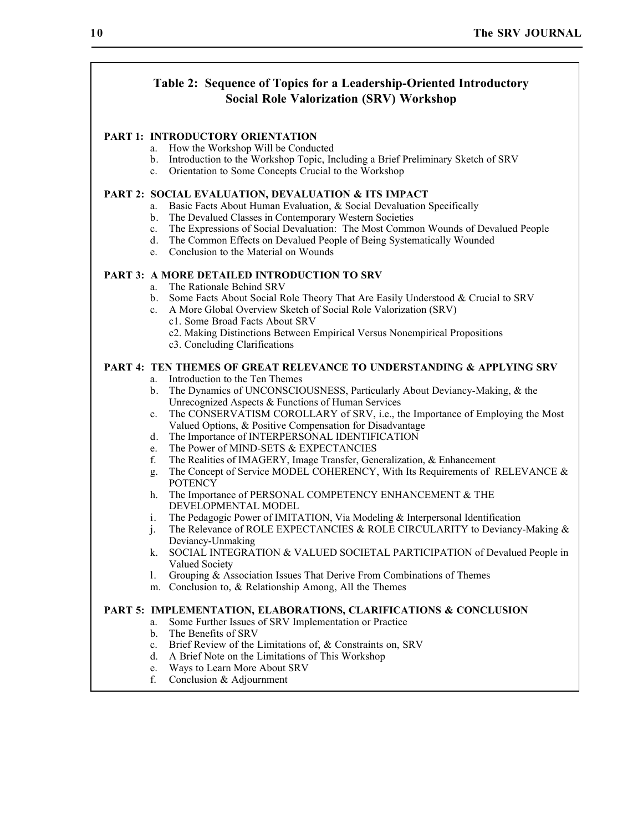# **Table 2: Sequence of Topics for a Leadership-Oriented Introductory Social Role Valorization (SRV) Workshop**

#### **PART 1: INTRODUCTORY ORIENTATION**

- a. How the Workshop Will be Conducted
- b. Introduction to the Workshop Topic, Including a Brief Preliminary Sketch of SRV
- c. Orientation to Some Concepts Crucial to the Workshop

#### **PART 2: SOCIAL EVALUATION, DEVALUATION & ITS IMPACT**

- a. Basic Facts About Human Evaluation, & Social Devaluation Specifically
- b. The Devalued Classes in Contemporary Western Societies
- c. The Expressions of Social Devaluation: The Most Common Wounds of Devalued People
- d. The Common Effects on Devalued People of Being Systematically Wounded
- e. Conclusion to the Material on Wounds

#### **PART 3: A MORE DETAILED INTRODUCTION TO SRV**

- a. The Rationale Behind SRV
- b. Some Facts About Social Role Theory That Are Easily Understood & Crucial to SRV
- c. A More Global Overview Sketch of Social Role Valorization (SRV) c1. Some Broad Facts About SRV
	- c2. Making Distinctions Between Empirical Versus Nonempirical Propositions
	- c3. Concluding Clarifications

#### **PART 4: TEN THEMES OF GREAT RELEVANCE TO UNDERSTANDING & APPLYING SRV**

- a. Introduction to the Ten Themes
- b. The Dynamics of UNCONSCIOUSNESS, Particularly About Deviancy-Making, & the Unrecognized Aspects & Functions of Human Services
- c. The CONSERVATISM COROLLARY of SRV, i.e., the Importance of Employing the Most Valued Options, & Positive Compensation for Disadvantage
- d. The Importance of INTERPERSONAL IDENTIFICATION
- e. The Power of MIND-SETS & EXPECTANCIES<br>f. The Realities of IMAGERY. Image Transfer. Gen
- f. The Realities of IMAGERY, Image Transfer, Generalization, & Enhancement
- g. The Concept of Service MODEL COHERENCY, With Its Requirements of RELEVANCE & **POTENCY**
- h. The Importance of PERSONAL COMPETENCY ENHANCEMENT & THE DEVELOPMENTAL MODEL
- i. The Pedagogic Power of IMITATION, Via Modeling & Interpersonal Identification
- j. The Relevance of ROLE EXPECTANCIES & ROLE CIRCULARITY to Deviancy-Making & Deviancy-Unmaking
- k. SOCIAL INTEGRATION & VALUED SOCIETAL PARTICIPATION of Devalued People in Valued Society
- l. Grouping & Association Issues That Derive From Combinations of Themes
- m. Conclusion to, & Relationship Among, All the Themes

#### **PART 5: IMPLEMENTATION, ELABORATIONS, CLARIFICATIONS & CONCLUSION**

- a. Some Further Issues of SRV Implementation or Practice
- b. The Benefits of SRV
- c. Brief Review of the Limitations of, & Constraints on, SRV
- d. A Brief Note on the Limitations of This Workshop
- e. Ways to Learn More About SRV
- f. Conclusion & Adjournment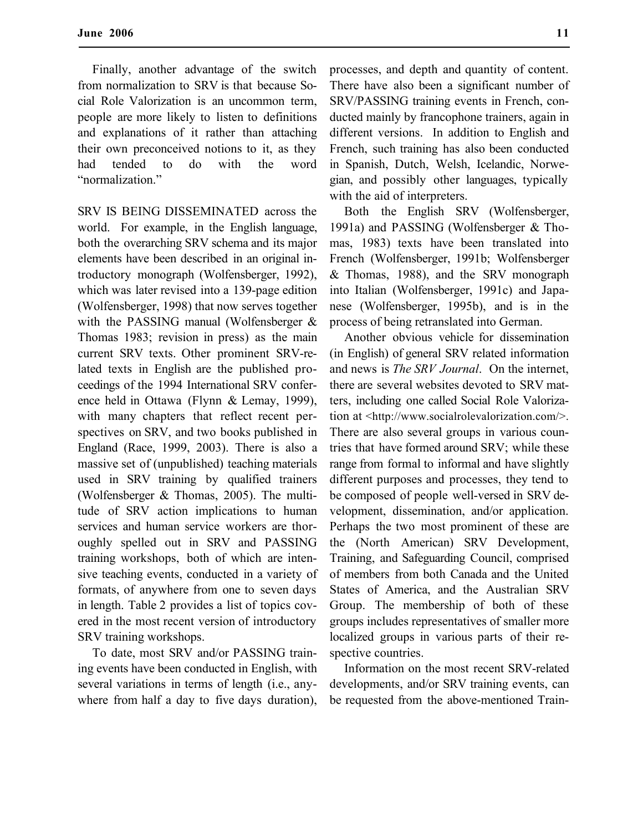Finally, another advantage of the switch from normalization to SRV is that because Social Role Valorization is an uncommon term, people are more likely to listen to definitions and explanations of it rather than attaching their own preconceived notions to it, as they had tended to do with the word "normalization."

SRV IS BEING DISSEMINATED across the world. For example, in the English language, both the overarching SRV schema and its major elements have been described in an original introductory monograph (Wolfensberger, 1992), which was later revised into a 139-page edition (Wolfensberger, 1998) that now serves together with the PASSING manual (Wolfensberger & Thomas 1983; revision in press) as the main current SRV texts. Other prominent SRV-related texts in English are the published proceedings of the 1994 International SRV conference held in Ottawa (Flynn & Lemay, 1999), with many chapters that reflect recent perspectives on SRV, and two books published in England (Race, 1999, 2003). There is also a massive set of (unpublished) teaching materials used in SRV training by qualified trainers (Wolfensberger & Thomas, 2005). The multitude of SRV action implications to human services and human service workers are thoroughly spelled out in SRV and PASSING training workshops, both of which are intensive teaching events, conducted in a variety of formats, of anywhere from one to seven days in length. Table 2 provides a list of topics covered in the most recent version of introductory SRV training workshops.

To date, most SRV and/or PASSING training events have been conducted in English, with several variations in terms of length (i.e., anywhere from half a day to five days duration), processes, and depth and quantity of content. There have also been a significant number of SRV/PASSING training events in French, conducted mainly by francophone trainers, again in different versions. In addition to English and French, such training has also been conducted in Spanish, Dutch, Welsh, Icelandic, Norwegian, and possibly other languages, typically with the aid of interpreters.

Both the English SRV (Wolfensberger, 1991a) and PASSING (Wolfensberger & Thomas, 1983) texts have been translated into French (Wolfensberger, 1991b; Wolfensberger & Thomas, 1988), and the SRV monograph into Italian (Wolfensberger, 1991c) and Japanese (Wolfensberger, 1995b), and is in the process of being retranslated into German.

Another obvious vehicle for dissemination (in English) of general SRV related information and news is *The SRV Journal*. On the internet, there are several websites devoted to SRV matters, including one called Social Role Valorization at <http://www.socialrolevalorization.com/>. There are also several groups in various countries that have formed around SRV; while these range from formal to informal and have slightly different purposes and processes, they tend to be composed of people well-versed in SRV development, dissemination, and/or application. Perhaps the two most prominent of these are the (North American) SRV Development, Training, and Safeguarding Council, comprised of members from both Canada and the United States of America, and the Australian SRV Group. The membership of both of these groups includes representatives of smaller more localized groups in various parts of their respective countries.

Information on the most recent SRV-related developments, and/or SRV training events, can be requested from the above-mentioned Train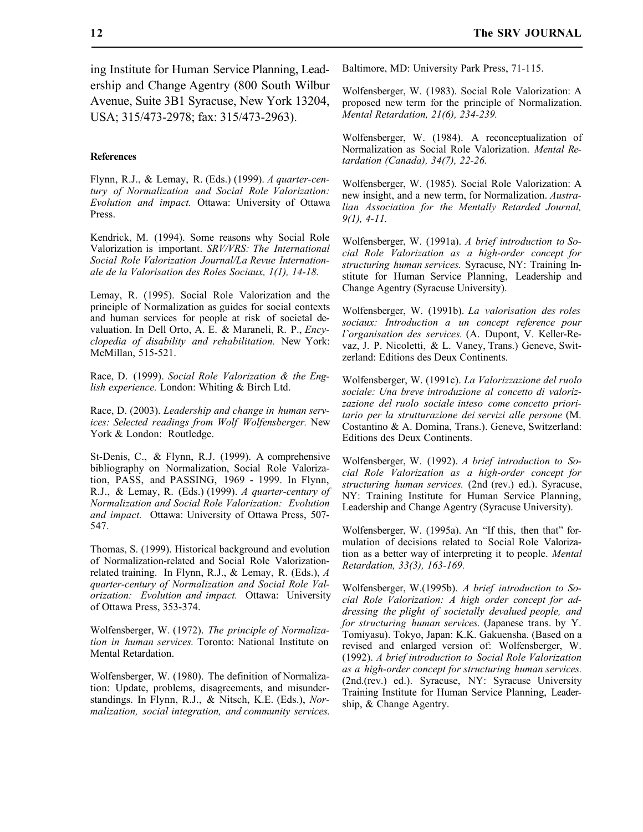ing Institute for Human Service Planning, Leadership and Change Agentry (800 South Wilbur Avenue, Suite 3B1 Syracuse, New York 13204, USA; 315/473-2978; fax: 315/473-2963).

#### **References**

Flynn, R.J., & Lemay, R. (Eds.) (1999). *A quarter-century of Normalization and Social Role Valorization: Evolution and impact.* Ottawa: University of Ottawa Press.

Kendrick, M. (1994). Some reasons why Social Role Valorization is important. *SRV/VRS: The International Social Role Valorization Journal/La Revue Internationale de la Valorisation des Roles Sociaux, 1(1), 14-18.*

Lemay, R. (1995). Social Role Valorization and the principle of Normalization as guides for social contexts and human services for people at risk of societal devaluation. In Dell Orto, A. E. & Maraneli, R. P., *Encyclopedia of disability and rehabilitation.* New York: McMillan, 515-521.

Race, D. (1999). *Social Role Valorization & the English experience.* London: Whiting & Birch Ltd.

Race, D. (2003). *Leadership and change in human services: Selected readings from Wolf Wolfensberger.* New York & London: Routledge.

St-Denis, C., & Flynn, R.J. (1999). A comprehensive bibliography on Normalization, Social Role Valorization, PASS, and PASSING, 1969 - 1999. In Flynn, R.J., & Lemay, R. (Eds.) (1999). *A quarter-century of Normalization and Social Role Valorization: Evolution and impact.* Ottawa: University of Ottawa Press, 507- 547.

Thomas, S. (1999). Historical background and evolution of Normalization-related and Social Role Valorizationrelated training. In Flynn, R.J., & Lemay, R. (Eds.), *A quarter-century of Normalization and Social Role Valorization: Evolution and impact.* Ottawa: University of Ottawa Press, 353-374.

Wolfensberger, W. (1972). *The principle of Normalization in human services.* Toronto: National Institute on Mental Retardation.

Wolfensberger, W. (1980). The definition of Normalization: Update, problems, disagreements, and misunderstandings. In Flynn, R.J., & Nitsch, K.E. (Eds.), *Normalization, social integration, and community services.* Baltimore, MD: University Park Press, 71-115.

Wolfensberger, W. (1983). Social Role Valorization: A proposed new term for the principle of Normalization. *Mental Retardation, 21(6), 234-239.*

Wolfensberger, W. (1984). A reconceptualization of Normalization as Social Role Valorization. *Mental Retardation (Canada), 34(7), 22-26.*

Wolfensberger, W. (1985). Social Role Valorization: A new insight, and a new term, for Normalization. *Australian Association for the Mentally Retarded Journal, 9(1), 4-11.*

Wolfensberger, W. (1991a). *A brief introduction to Social Role Valorization as a high-order concept for structuring human services.* Syracuse, NY: Training Institute for Human Service Planning, Leadership and Change Agentry (Syracuse University).

Wolfensberger, W. (1991b). *La valorisation des roles sociaux: Introduction a un concept reference pour l`organisation des services.* (A. Dupont, V. Keller-Revaz, J. P. Nicoletti, & L. Vaney, Trans.) Geneve, Switzerland: Editions des Deux Continents.

Wolfensberger, W. (1991c). *La Valorizzazione del ruolo sociale: Una breve introduzione al concetto di valorizzazione del ruolo sociale inteso come concetto prioritario per la strutturazione dei servizi alle persone* (M. Costantino & A. Domina, Trans.). Geneve, Switzerland: Editions des Deux Continents.

Wolfensberger, W. (1992). *A brief introduction to Social Role Valorization as a high-order concept for structuring human services.* (2nd (rev.) ed.). Syracuse, NY: Training Institute for Human Service Planning, Leadership and Change Agentry (Syracuse University).

Wolfensberger, W. (1995a). An "If this, then that" formulation of decisions related to Social Role Valorization as a better way of interpreting it to people. *Mental Retardation, 33(3), 163-169.*

Wolfensberger, W.(1995b). *A brief introduction to Social Role Valorization: A high order concept for addressing the plight of societally devalued people, and for structuring human services.* (Japanese trans. by Y. Tomiyasu). Tokyo, Japan: K.K. Gakuensha. (Based on a revised and enlarged version of: Wolfensberger, W. (1992). *A brief introduction to Social Role Valorization as a high-order concept for structuring human services.* (2nd.(rev.) ed.). Syracuse, NY: Syracuse University Training Institute for Human Service Planning, Leadership, & Change Agentry.